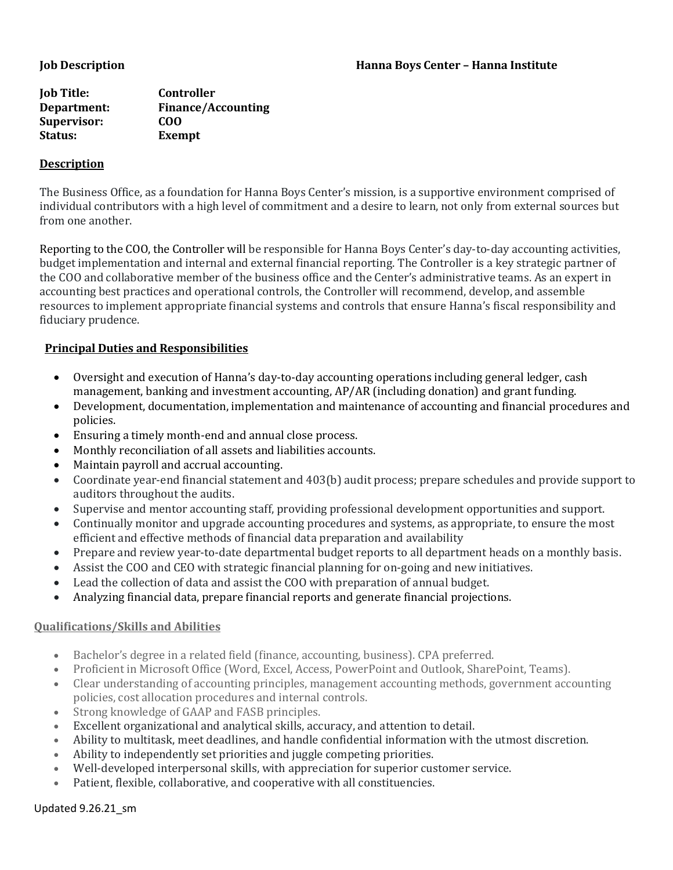| <b>Job Title:</b> | Controller                |
|-------------------|---------------------------|
| Department:       | <b>Finance/Accounting</b> |
| Supervisor:       | COO                       |
| Status:           | Exempt                    |

## **Description**

The Business Office, as a foundation for Hanna Boys Center's mission, is a supportive environment comprised of individual contributors with a high level of commitment and a desire to learn, not only from external sources but from one another.

Reporting to the COO, the Controller will be responsible for Hanna Boys Center's day-to-day accounting activities, budget implementation and internal and external financial reporting. The Controller is a key strategic partner of the COO and collaborative member of the business office and the Center's administrative teams. As an expert in accounting best practices and operational controls, the Controller will recommend, develop, and assemble resources to implement appropriate financial systems and controls that ensure Hanna's fiscal responsibility and fiduciary prudence.

# **Principal Duties and Responsibilities**

- Oversight and execution of Hanna's day-to-day accounting operations including general ledger, cash management, banking and investment accounting, AP/AR (including donation) and grant funding.
- Development, documentation, implementation and maintenance of accounting and financial procedures and policies.
- Ensuring a timely month-end and annual close process.
- Monthly reconciliation of all assets and liabilities accounts.
- Maintain payroll and accrual accounting.
- Coordinate year-end financial statement and 403(b) audit process; prepare schedules and provide support to auditors throughout the audits.
- Supervise and mentor accounting staff, providing professional development opportunities and support.
- Continually monitor and upgrade accounting procedures and systems, as appropriate, to ensure the most efficient and effective methods of financial data preparation and availability
- Prepare and review year-to-date departmental budget reports to all department heads on a monthly basis.
- Assist the COO and CEO with strategic financial planning for on-going and new initiatives.
- Lead the collection of data and assist the COO with preparation of annual budget.
- Analyzing financial data, prepare financial reports and generate financial projections.

## **Qualifications/Skills and Abilities**

- Bachelor's degree in a related field (finance, accounting, business). CPA preferred.
- Proficient in Microsoft Office (Word, Excel, Access, PowerPoint and Outlook, SharePoint, Teams).
- Clear understanding of accounting principles, management accounting methods, government accounting policies, cost allocation procedures and internal controls.
- Strong knowledge of GAAP and FASB principles.
- Excellent organizational and analytical skills, accuracy, and attention to detail.
- Ability to multitask, meet deadlines, and handle confidential information with the utmost discretion.
- Ability to independently set priorities and juggle competing priorities.
- Well-developed interpersonal skills, with appreciation for superior customer service.
- Patient, flexible, collaborative, and cooperative with all constituencies.